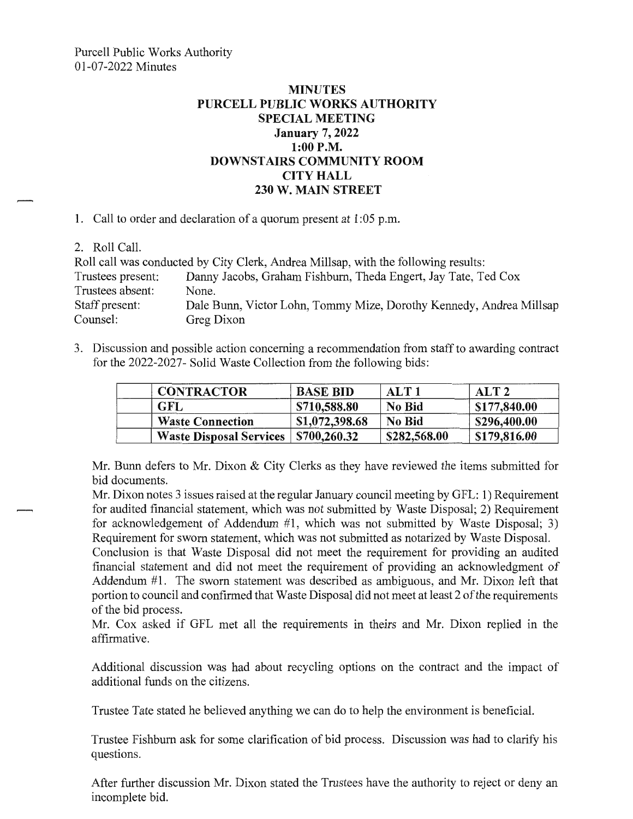## **MINUTES PURCELL PUBLIC WORKS AUTHORITY SPECIAL MEETING January 7, 2022 1:00 P.M. DOWNSTAIRS COMMUNITY ROOM CITY HALL 230 W. MAIN STREET**

**1.** Call to order and declaration of a quorum present at 1 :05 p.m.

2. Roll Call.

|                   | Roll call was conducted by City Clerk, Andrea Millsap, with the following results: |
|-------------------|------------------------------------------------------------------------------------|
| Trustees present: | Danny Jacobs, Graham Fishburn, Theda Engert, Jay Tate, Ted Cox                     |
| Trustees absent:  | None.                                                                              |
| Staff present:    | Dale Bunn, Victor Lohn, Tommy Mize, Dorothy Kennedy, Andrea Millsap                |
| Counsel:          | Greg Dixon                                                                         |

3. Discussion and possible action concerning a recommendation from staff to awarding contract for the 2022-2027- Solid Waste Collection from the following bids:

| <b>CONTRACTOR</b>              | <b>BASE BID</b> | ALT <sub>1</sub> | AI.T2        |
|--------------------------------|-----------------|------------------|--------------|
| <b>GFL</b>                     | \$710,588.80    | <b>No Bid</b>    | \$177,840.00 |
| <b>Waste Connection</b>        | \$1,072,398.68  | <b>No Bid</b>    | \$296,400.00 |
| <b>Waste Disposal Services</b> | \$700,260.32    | \$282,568.00     | \$179,816.00 |

Mr. Bunn defers to Mr. Dixon & City Clerks as they have reviewed the items submitted for bid documents.

Mr. Dixon notes 3 issues raised at the regular January council meeting by GFL: 1) Requirement for audited financial statement, which was not submitted by Waste Disposal; 2) Requirement for acknowledgement of Addendum #1, which was not submitted by Waste Disposal; 3) Requirement for sworn statement, which was not submitted as notarized by Waste Disposal.

Conclusion is that Waste Disposal did not meet the requirement for providing an audited financial statement and did not meet the requirement of providing an acknowledgment of Addendum  $#1$ . The sworn statement was described as ambiguous, and Mr. Dixon left that portion to council and confirmed that Waste Disposal did not meet at least 2 of the requirements of the bid process.

Mr. Cox asked if GFL met all the requirements in theirs and Mr. Dixon replied in the affirmative.

Additional discussion was had about recycling options on the contract and the impact of additional funds on the citizens.

Trustee Tate stated he believed anything we can do to help the environment is beneficial.

Trustee Fishburn ask for some clarification of bid process. Discussion was had to clarify his questions.

After further discussion Mr. Dixon stated the Trustees have the authority to reject or deny an incomplete bid.